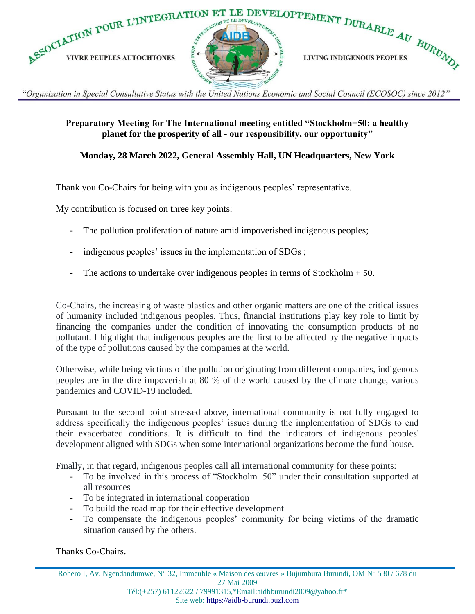

"Organization in Special Consultative Status with the United Nations Economic and Social Council (ECOSOC) since 2012"

## **Preparatory Meeting for The International meeting entitled "Stockholm+50: a healthy planet for the prosperity of all - our responsibility, our opportunity"**

## **Monday, 28 March 2022, General Assembly Hall, UN Headquarters, New York**

Thank you Co-Chairs for being with you as indigenous peoples' representative.

My contribution is focused on three key points:

- The pollution proliferation of nature amid impoverished indigenous peoples;
- indigenous peoples' issues in the implementation of SDGs;
- The actions to undertake over indigenous peoples in terms of Stockholm  $+ 50$ .

Co-Chairs, the increasing of waste plastics and other organic matters are one of the critical issues of humanity included indigenous peoples. Thus, financial institutions play key role to limit by financing the companies under the condition of innovating the consumption products of no pollutant. I highlight that indigenous peoples are the first to be affected by the negative impacts of the type of pollutions caused by the companies at the world.

Otherwise, while being victims of the pollution originating from different companies, indigenous peoples are in the dire impoverish at 80 % of the world caused by the climate change, various pandemics and COVID-19 included.

Pursuant to the second point stressed above, international community is not fully engaged to address specifically the indigenous peoples' issues during the implementation of SDGs to end their exacerbated conditions. It is difficult to find the indicators of indigenous peoples' development aligned with SDGs when some international organizations become the fund house.

Finally, in that regard, indigenous peoples call all international community for these points:

- To be involved in this process of "Stockholm+50" under their consultation supported at all resources
- To be integrated in international cooperation
- To build the road map for their effective development
- To compensate the indigenous peoples' community for being victims of the dramatic situation caused by the others.

Thanks Co-Chairs.

Rohero I, Av. Ngendandumwe, N° 32, Immeuble « Maison des œuvres » Bujumbura Burundi, OM N° 530 / 678 du 27 Mai 2009 Tél:(+257) 61122622 / 79991315,\*Email:aidbburundi2009@yahoo.fr\* Site web: [https://aidb-burundi.puzl.com](https://aidb-burundi.puzl.com/)